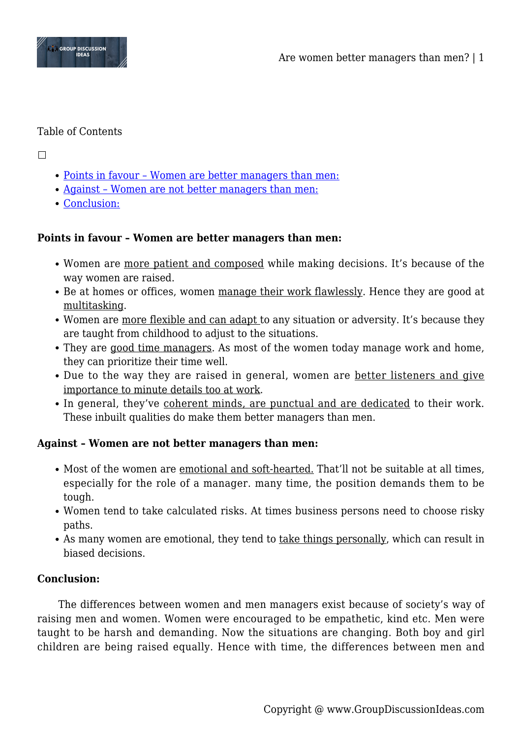

## Table of Contents

 $\Box$ 

- [Points in favour Women are better managers than men:](#page--1-0)
- [Against Women are not better managers than men:](#page--1-0)
- [Conclusion:](#page--1-0)

## **Points in favour – Women are better managers than men:**

- Women are more patient and composed while making decisions. It's because of the way women are raised.
- Be at homes or offices, women manage their work flawlessly. Hence they are good at multitasking.
- Women are more flexible and can adapt to any situation or adversity. It's because they are taught from childhood to adjust to the situations.
- They are good time managers. As most of the women today manage work and home, they can prioritize their time well.
- Due to the way they are raised in general, women are better listeners and give importance to minute details too at work.
- In general, they've coherent minds, are punctual and are dedicated to their work. These inbuilt qualities do make them better managers than men.

## **Against – Women are not better managers than men:**

- Most of the women are emotional and soft-hearted. That'll not be suitable at all times, especially for the role of a manager. many time, the position demands them to be tough.
- Women tend to take calculated risks. At times business persons need to choose risky paths.
- As many women are emotional, they tend to take things personally, which can result in biased decisions.

## **Conclusion:**

The differences between women and men managers exist because of society's way of raising men and women. Women were encouraged to be empathetic, kind etc. Men were taught to be harsh and demanding. Now the situations are changing. Both boy and girl children are being raised equally. Hence with time, the differences between men and